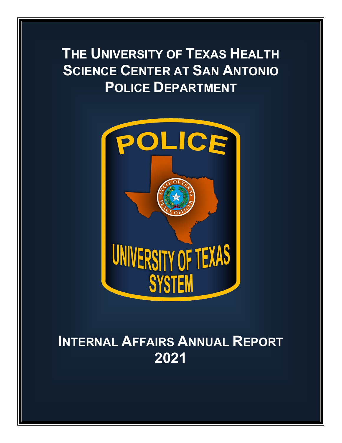# **THE UNIVERSITY OF TEXAS HEALTH SCIENCE CENTER AT SAN ANTONIO POLICE DEPARTMENT**



# **INTERNAL AFFAIRS ANNUAL REPORT 2021**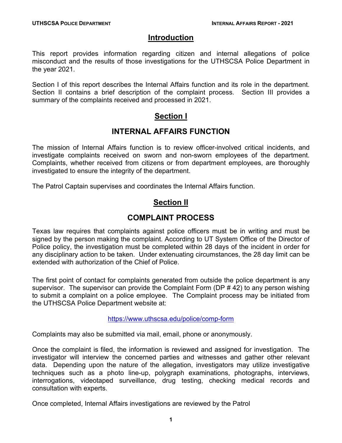### **Introduction**

This report provides information regarding citizen and internal allegations of police misconduct and the results of those investigations for the UTHSCSA Police Department in the year 2021.

Section I of this report describes the Internal Affairs function and its role in the department. Section II contains a brief description of the complaint process. Section III provides a summary of the complaints received and processed in 2021.

## **Section I**

## **INTERNAL AFFAIRS FUNCTION**

The mission of Internal Affairs function is to review officer-involved critical incidents, and investigate complaints received on sworn and non-sworn employees of the department. Complaints, whether received from citizens or from department employees, are thoroughly investigated to ensure the integrity of the department.

The Patrol Captain supervises and coordinates the Internal Affairs function.

## **Section II**

## **COMPLAINT PROCESS**

Texas law requires that complaints against police officers must be in writing and must be signed by the person making the complaint. According to UT System Office of the Director of Police policy, the investigation must be completed within 28 days of the incident in order for any disciplinary action to be taken. Under extenuating circumstances, the 28 day limit can be extended with authorization of the Chief of Police.

The first point of contact for complaints generated from outside the police department is any supervisor. The supervisor can provide the Complaint Form (DP # 42) to any person wishing to submit a complaint on a police employee. The Complaint process may be initiated from the UTHSCSA Police Department website at:

#### <https://www.uthscsa.edu/police/comp-form>

Complaints may also be submitted via mail, email, phone or anonymously.

Once the complaint is filed, the information is reviewed and assigned for investigation. The investigator will interview the concerned parties and witnesses and gather other relevant data. Depending upon the nature of the allegation, investigators may utilize investigative techniques such as a photo line-up, polygraph examinations, photographs, interviews, interrogations, videotaped surveillance, drug testing, checking medical records and consultation with experts.

Once completed, Internal Affairs investigations are reviewed by the Patrol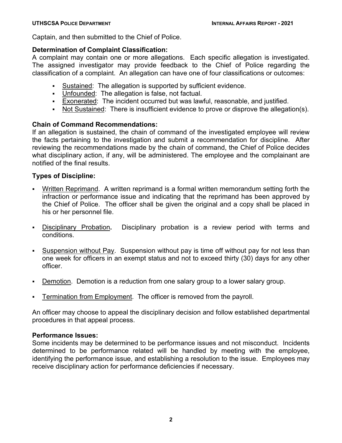Captain, and then submitted to the Chief of Police.

#### **Determination of Complaint Classification:**

A complaint may contain one or more allegations. Each specific allegation is investigated. The assigned investigator may provide feedback to the Chief of Police regarding the classification of a complaint. An allegation can have one of four classifications or outcomes:

- Sustained: The allegation is supported by sufficient evidence.
- Unfounded: The allegation is false, not factual.
- Exonerated: The incident occurred but was lawful, reasonable, and justified.
- Not Sustained: There is insufficient evidence to prove or disprove the allegation(s).

### **Chain of Command Recommendations:**

If an allegation is sustained, the chain of command of the investigated employee will review the facts pertaining to the investigation and submit a recommendation for discipline. After reviewing the recommendations made by the chain of command, the Chief of Police decides what disciplinary action, if any, will be administered. The employee and the complainant are notified of the final results.

#### **Types of Discipline:**

- Written Reprimand. A written reprimand is a formal written memorandum setting forth the infraction or performance issue and indicating that the reprimand has been approved by the Chief of Police. The officer shall be given the original and a copy shall be placed in his or her personnel file.
- Disciplinary Probation**.** Disciplinary probation is a review period with terms and conditions.
- Suspension without Pay. Suspension without pay is time off without pay for not less than one week for officers in an exempt status and not to exceed thirty (30) days for any other officer.
- Demotion. Demotion is a reduction from one salary group to a lower salary group.
- Termination from Employment. The officer is removed from the payroll.

An officer may choose to appeal the disciplinary decision and follow established departmental procedures in that appeal process.

#### **Performance Issues:**

Some incidents may be determined to be performance issues and not misconduct. Incidents determined to be performance related will be handled by meeting with the employee, identifying the performance issue, and establishing a resolution to the issue. Employees may receive disciplinary action for performance deficiencies if necessary.